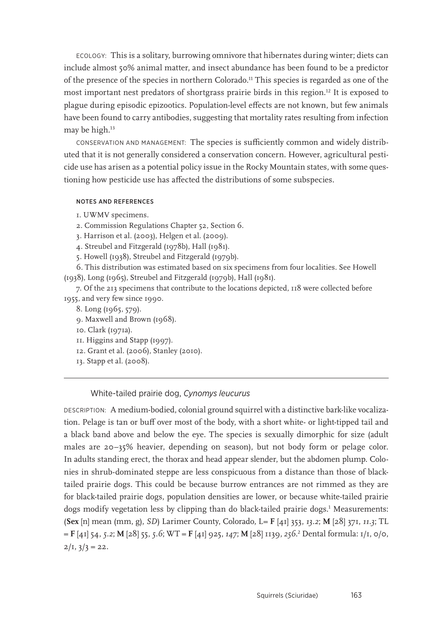ECOLOGY: This is a solitary, burrowing omnivore that hibernates during winter; diets can include almost 50% animal matter, and insect abundance has been found to be a predictor of the presence of the species in northern Colorado.11 This species is regarded as one of the most important nest predators of shortgrass prairie birds in this region.12 It is exposed to plague during episodic epizootics. Population-level effects are not known, but few animals have been found to carry antibodies, suggesting that mortality rates resulting from infection may be high.<sup>13</sup>

CONSERVATION AND MANAGEMENT: The species is sufficiently common and widely distributed that it is not generally considered a conservation concern. However, agricultural pesticide use has arisen as a potential policy issue in the Rocky Mountain states, with some questioning how pesticide use has affected the distributions of some subspecies.

## NOTES AND REFERENCES

1. UWMV specimens.

2. Commission Regulations Chapter 52, Section 6.

3. Harrison et al. (2003), Helgen et al. (2009).

4. Streubel and Fitzgerald (1978b), Hall (1981).

5. Howell (1938), Streubel and Fitzgerald (1979b).

6. This distribution was estimated based on six specimens from four localities. See Howell (1938), Long (1965), Streubel and Fitzgerald (1979b), Hall (1981).

7. Of the 213 specimens that contribute to the locations depicted, 118 were collected before 1955, and very few since 1990.

8. Long (1965, 579).

9. Maxwell and Brown (1968).

10. Clark (1971a).

11. Higgins and Stapp (1997).

12. Grant et al. (2006), Stanley (2010).

13. Stapp et al. (2008).

## White-tailed prairie dog, *Cynomys leucurus*

DESCRIPTION: A medium-bodied, colonial ground squirrel with a distinctive bark-like vocalization. Pelage is tan or buff over most of the body, with a short white- or light-tipped tail and a black band above and below the eye. The species is sexually dimorphic for size (adult males are 20–35% heavier, depending on season), but not body form or pelage color. In adults standing erect, the thorax and head appear slender, but the abdomen plump. Colonies in shrub-dominated steppe are less conspicuous from a distance than those of blacktailed prairie dogs. This could be because burrow entrances are not rimmed as they are for black-tailed prairie dogs, population densities are lower, or because white-tailed prairie dogs modify vegetation less by clipping than do black-tailed prairie dogs.1 Measurements: (**Sex** [n] mean (mm, g), *SD*) Larimer County, Colorado, L= **F** [41] 353, *13.2*; **M** [28] 371, *11.3*; TL = **F** [41] 54, *5.2*; **M** [28] 55, *5.6*; WT = **F** [41] 925, *147*; **M** [28] 1139, *256*. 2 Dental formula: 1/1, 0/0,  $2/I$ ,  $3/3 = 22$ .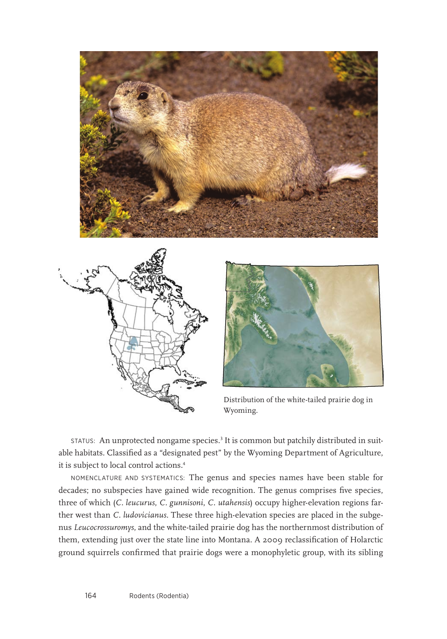





Distribution of the white-tailed prairie dog in Wyoming.

status: An unprotected nongame species.<sup>3</sup> It is common but patchily distributed in suitable habitats. Classified as a "designated pest" by the Wyoming Department of Agriculture, it is subject to local control actions.<sup>4</sup>

NOMENCLATURE AND SYSTEMATICS: The genus and species names have been stable for decades; no subspecies have gained wide recognition. The genus comprises five species, three of which (*C. leucurus*, *C. gunnisoni*, *C. utahensis*) occupy higher-elevation regions farther west than *C. ludovicianus*. These three high-elevation species are placed in the subgenus *Leucocrossuromys*, and the white-tailed prairie dog has the northernmost distribution of them, extending just over the state line into Montana. A 2009 reclassification of Holarctic ground squirrels confirmed that prairie dogs were a monophyletic group, with its sibling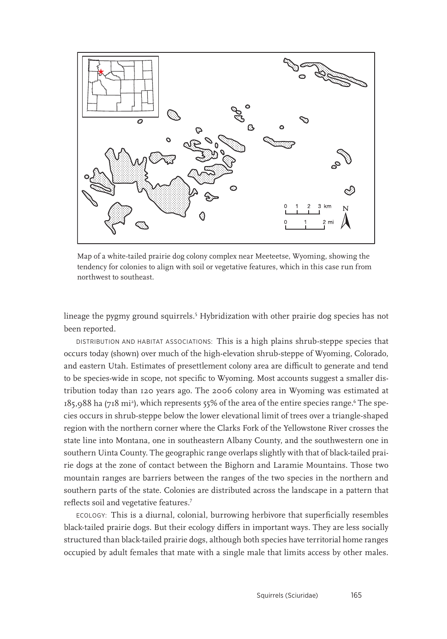

Map of a white-tailed prairie dog colony complex near Meeteetse, Wyoming, showing the tendency for colonies to align with soil or vegetative features, which in this case run from northwest to southeast.

lineage the pygmy ground squirrels.5 Hybridization with other prairie dog species has not been reported.

DISTRIBUTION AND HABITAT ASSOCIATIONS: This is a high plains shrub-steppe species that occurs today (shown) over much of the high-elevation shrub-steppe of Wyoming, Colorado, and eastern Utah. Estimates of presettlement colony area are difficult to generate and tend to be species-wide in scope, not specific to Wyoming. Most accounts suggest a smaller distribution today than 120 years ago. The 2006 colony area in Wyoming was estimated at 185,988 ha (718 mi²), which represents 55% of the area of the entire species range.<sup>6</sup> The species occurs in shrub-steppe below the lower elevational limit of trees over a triangle-shaped region with the northern corner where the Clarks Fork of the Yellowstone River crosses the state line into Montana, one in southeastern Albany County, and the southwestern one in southern Uinta County. The geographic range overlaps slightly with that of black-tailed prairie dogs at the zone of contact between the Bighorn and Laramie Mountains. Those two mountain ranges are barriers between the ranges of the two species in the northern and southern parts of the state. Colonies are distributed across the landscape in a pattern that reflects soil and vegetative features.7

ECOLOGY: This is a diurnal, colonial, burrowing herbivore that superficially resembles black-tailed prairie dogs. But their ecology differs in important ways. They are less socially structured than black-tailed prairie dogs, although both species have territorial home ranges occupied by adult females that mate with a single male that limits access by other males.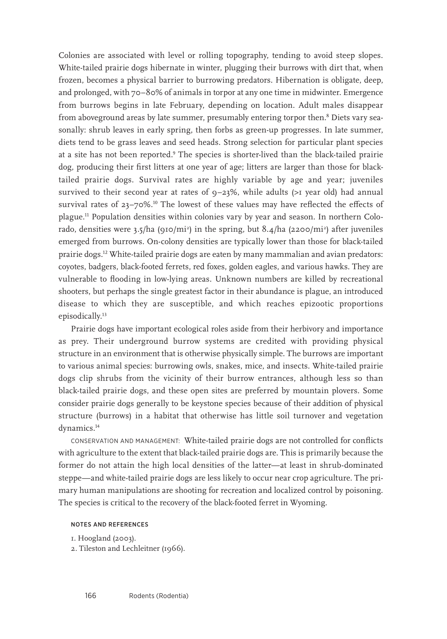Colonies are associated with level or rolling topography, tending to avoid steep slopes. White-tailed prairie dogs hibernate in winter, plugging their burrows with dirt that, when frozen, becomes a physical barrier to burrowing predators. Hibernation is obligate, deep, and prolonged, with 70–80% of animals in torpor at any one time in midwinter. Emergence from burrows begins in late February, depending on location. Adult males disappear from aboveground areas by late summer, presumably entering torpor then.<sup>8</sup> Diets vary seasonally: shrub leaves in early spring, then forbs as green-up progresses. In late summer, diets tend to be grass leaves and seed heads. Strong selection for particular plant species at a site has not been reported.<sup>9</sup> The species is shorter-lived than the black-tailed prairie dog, producing their first litters at one year of age; litters are larger than those for blacktailed prairie dogs. Survival rates are highly variable by age and year; juveniles survived to their second year at rates of  $9-23%$ , while adults (>1 year old) had annual survival rates of  $23-70\%$ .<sup>10</sup> The lowest of these values may have reflected the effects of plague.11 Population densities within colonies vary by year and season. In northern Colorado, densities were 3.5/ha (910/mi<sup>2</sup>) in the spring, but 8.4/ha (2200/mi<sup>2</sup>) after juveniles emerged from burrows. On-colony densities are typically lower than those for black-tailed prairie dogs.12 White-tailed prairie dogs are eaten by many mammalian and avian predators: coyotes, badgers, black-footed ferrets, red foxes, golden eagles, and various hawks. They are vulnerable to flooding in low-lying areas. Unknown numbers are killed by recreational shooters, but perhaps the single greatest factor in their abundance is plague, an introduced disease to which they are susceptible, and which reaches epizootic proportions episodically.<sup>13</sup>

Prairie dogs have important ecological roles aside from their herbivory and importance as prey. Their underground burrow systems are credited with providing physical structure in an environment that is otherwise physically simple. The burrows are important to various animal species: burrowing owls, snakes, mice, and insects. White-tailed prairie dogs clip shrubs from the vicinity of their burrow entrances, although less so than black-tailed prairie dogs, and these open sites are preferred by mountain plovers. Some consider prairie dogs generally to be keystone species because of their addition of physical structure (burrows) in a habitat that otherwise has little soil turnover and vegetation dynamics.<sup>14</sup>

CONSERVATION AND MANAGEMENT: White-tailed prairie dogs are not controlled for conflicts with agriculture to the extent that black-tailed prairie dogs are. This is primarily because the former do not attain the high local densities of the latter—at least in shrub-dominated steppe—and white-tailed prairie dogs are less likely to occur near crop agriculture. The primary human manipulations are shooting for recreation and localized control by poisoning. The species is critical to the recovery of the black-footed ferret in Wyoming.

## NOTES AND REFERENCES

```
1. Hoogland (2003).
```
2. Tileston and Lechleitner (1966).